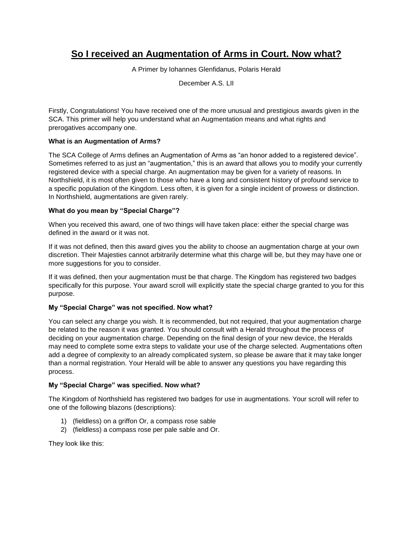# **So I received an Augmentation of Arms in Court. Now what?**

A Primer by Iohannes Glenfidanus, Polaris Herald

December A.S. LII

Firstly, Congratulations! You have received one of the more unusual and prestigious awards given in the SCA. This primer will help you understand what an Augmentation means and what rights and prerogatives accompany one.

## **What is an Augmentation of Arms?**

The SCA College of Arms defines an Augmentation of Arms as "an honor added to a registered device". Sometimes referred to as just an "augmentation," this is an award that allows you to modify your currently registered device with a special charge. An augmentation may be given for a variety of reasons. In Northshield, it is most often given to those who have a long and consistent history of profound service to a specific population of the Kingdom. Less often, it is given for a single incident of prowess or distinction. In Northshield, augmentations are given rarely.

## **What do you mean by "Special Charge"?**

When you received this award, one of two things will have taken place: either the special charge was defined in the award or it was not.

If it was not defined, then this award gives you the ability to choose an augmentation charge at your own discretion. Their Majesties cannot arbitrarily determine what this charge will be, but they may have one or more suggestions for you to consider.

If it was defined, then your augmentation must be that charge. The Kingdom has registered two badges specifically for this purpose. Your award scroll will explicitly state the special charge granted to you for this purpose.

## **My "Special Charge" was not specified. Now what?**

You can select any charge you wish. It is recommended, but not required, that your augmentation charge be related to the reason it was granted. You should consult with a Herald throughout the process of deciding on your augmentation charge. Depending on the final design of your new device, the Heralds may need to complete some extra steps to validate your use of the charge selected. Augmentations often add a degree of complexity to an already complicated system, so please be aware that it may take longer than a normal registration. Your Herald will be able to answer any questions you have regarding this process.

## **My "Special Charge" was specified. Now what?**

The Kingdom of Northshield has registered two badges for use in augmentations. Your scroll will refer to one of the following blazons (descriptions):

- 1) (fieldless) on a griffon Or, a compass rose sable
- 2) (fieldless) a compass rose per pale sable and Or.

They look like this: